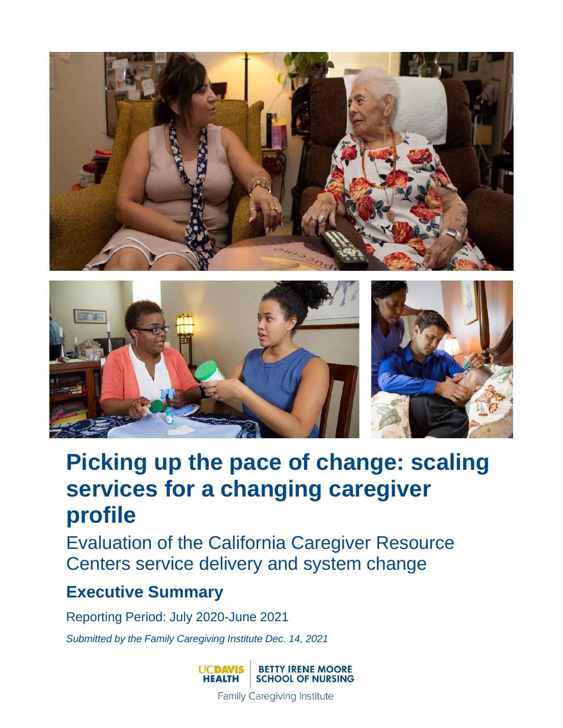



# **Picking up the pace of change: scaling services for a changing caregiver profile**

Evaluation of the California Caregiver Resource Centers service delivery and system change

## **Executive Summary**

Reporting Period: July 2020-June 2021

*Submitted by the Family Caregiving Institute Dec. 14, 2021*



**Family Caregiving Institute**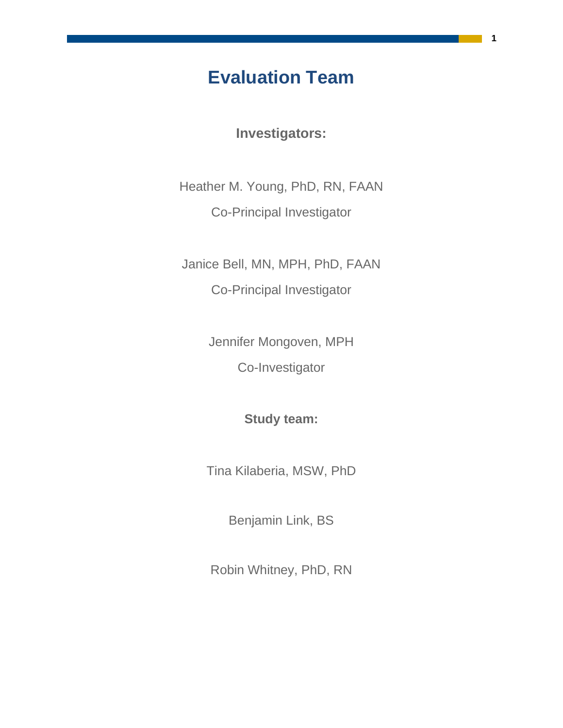## **Evaluation Team**

**Investigators:**

Heather M. Young, PhD, RN, FAAN Co-Principal Investigator

Janice Bell, MN, MPH, PhD, FAAN Co-Principal Investigator

Jennifer Mongoven, MPH

Co-Investigator

**Study team:**

Tina Kilaberia, MSW, PhD

Benjamin Link, BS

Robin Whitney, PhD, RN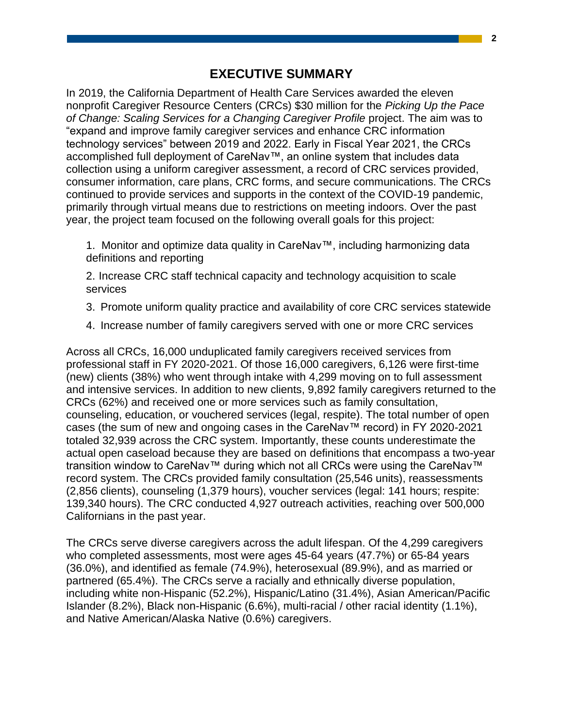In 2019, the California Department of Health Care Services awarded the eleven nonprofit Caregiver Resource Centers (CRCs) \$30 million for the *Picking Up the Pace of Change: Scaling Services for a Changing Caregiver Profile* project. The aim was to "expand and improve family caregiver services and enhance CRC information technology services" between 2019 and 2022. Early in Fiscal Year 2021, the CRCs accomplished full deployment of CareNav™, an online system that includes data collection using a uniform caregiver assessment, a record of CRC services provided, consumer information, care plans, CRC forms, and secure communications. The CRCs continued to provide services and supports in the context of the COVID-19 pandemic, primarily through virtual means due to restrictions on meeting indoors. Over the past year, the project team focused on the following overall goals for this project:

1. Monitor and optimize data quality in CareNav™, including harmonizing data definitions and reporting

2. Increase CRC staff technical capacity and technology acquisition to scale services

- 3. Promote uniform quality practice and availability of core CRC services statewide
- 4. Increase number of family caregivers served with one or more CRC services

Across all CRCs, 16,000 unduplicated family caregivers received services from professional staff in FY 2020-2021. Of those 16,000 caregivers, 6,126 were first-time (new) clients (38%) who went through intake with 4,299 moving on to full assessment and intensive services. In addition to new clients, 9,892 family caregivers returned to the CRCs (62%) and received one or more services such as family consultation, counseling, education, or vouchered services (legal, respite). The total number of open cases (the sum of new and ongoing cases in the CareNav™ record) in FY 2020-2021 totaled 32,939 across the CRC system. Importantly, these counts underestimate the actual open caseload because they are based on definitions that encompass a two-year transition window to CareNav™ during which not all CRCs were using the CareNav™ record system. The CRCs provided family consultation (25,546 units), reassessments (2,856 clients), counseling (1,379 hours), voucher services (legal: 141 hours; respite: 139,340 hours). The CRC conducted 4,927 outreach activities, reaching over 500,000 Californians in the past year.

The CRCs serve diverse caregivers across the adult lifespan. Of the 4,299 caregivers who completed assessments, most were ages 45-64 years (47.7%) or 65-84 years (36.0%), and identified as female (74.9%), heterosexual (89.9%), and as married or partnered (65.4%). The CRCs serve a racially and ethnically diverse population, including white non-Hispanic (52.2%), Hispanic/Latino (31.4%), Asian American/Pacific Islander (8.2%), Black non-Hispanic (6.6%), multi-racial / other racial identity (1.1%), and Native American/Alaska Native (0.6%) caregivers.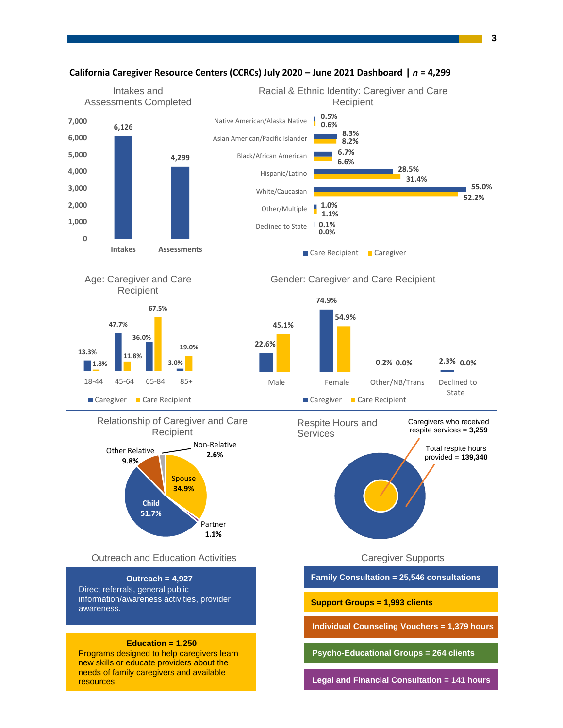

#### **California Caregiver Resource Centers (CCRCs) July 2020 – June 2021 Dashboard |** *n* **= 4,299**

**3**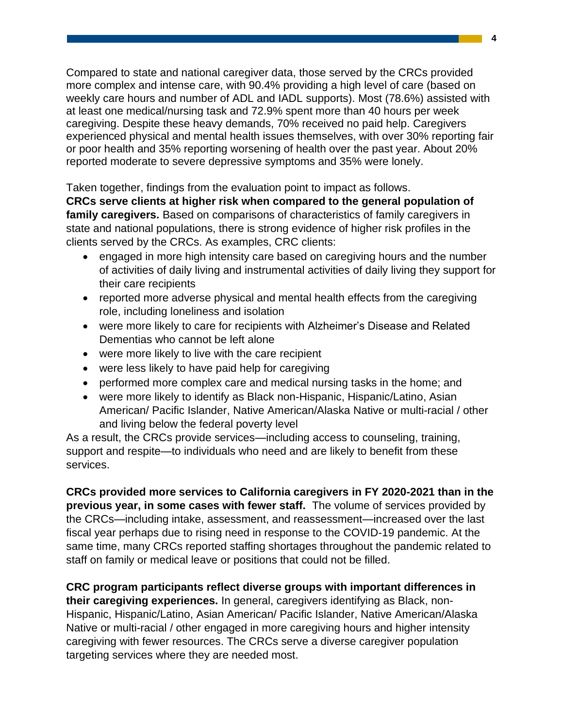Compared to state and national caregiver data, those served by the CRCs provided more complex and intense care, with 90.4% providing a high level of care (based on weekly care hours and number of ADL and IADL supports). Most (78.6%) assisted with at least one medical/nursing task and 72.9% spent more than 40 hours per week caregiving. Despite these heavy demands, 70% received no paid help. Caregivers experienced physical and mental health issues themselves, with over 30% reporting fair or poor health and 35% reporting worsening of health over the past year. About 20% reported moderate to severe depressive symptoms and 35% were lonely.

Taken together, findings from the evaluation point to impact as follows.

**CRCs serve clients at higher risk when compared to the general population of family caregivers.** Based on comparisons of characteristics of family caregivers in state and national populations, there is strong evidence of higher risk profiles in the clients served by the CRCs. As examples, CRC clients:

- engaged in more high intensity care based on caregiving hours and the number of activities of daily living and instrumental activities of daily living they support for their care recipients
- reported more adverse physical and mental health effects from the caregiving role, including loneliness and isolation
- were more likely to care for recipients with Alzheimer's Disease and Related Dementias who cannot be left alone
- were more likely to live with the care recipient
- were less likely to have paid help for caregiving
- performed more complex care and medical nursing tasks in the home; and
- were more likely to identify as Black non-Hispanic, Hispanic/Latino, Asian American/ Pacific Islander, Native American/Alaska Native or multi-racial / other and living below the federal poverty level

As a result, the CRCs provide services—including access to counseling, training, support and respite—to individuals who need and are likely to benefit from these services.

**CRCs provided more services to California caregivers in FY 2020-2021 than in the previous year, in some cases with fewer staff.** The volume of services provided by the CRCs—including intake, assessment, and reassessment—increased over the last fiscal year perhaps due to rising need in response to the COVID-19 pandemic. At the same time, many CRCs reported staffing shortages throughout the pandemic related to staff on family or medical leave or positions that could not be filled.

**CRC program participants reflect diverse groups with important differences in their caregiving experiences.** In general, caregivers identifying as Black, non-Hispanic, Hispanic/Latino, Asian American/ Pacific Islander, Native American/Alaska Native or multi-racial / other engaged in more caregiving hours and higher intensity caregiving with fewer resources. The CRCs serve a diverse caregiver population targeting services where they are needed most.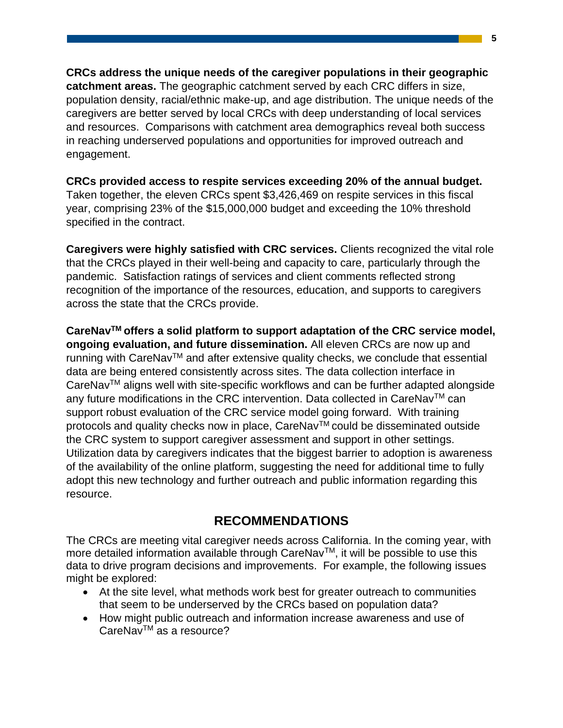**CRCs address the unique needs of the caregiver populations in their geographic catchment areas.** The geographic catchment served by each CRC differs in size, population density, racial/ethnic make-up, and age distribution. The unique needs of the caregivers are better served by local CRCs with deep understanding of local services and resources. Comparisons with catchment area demographics reveal both success in reaching underserved populations and opportunities for improved outreach and engagement.

**CRCs provided access to respite services exceeding 20% of the annual budget.**  Taken together, the eleven CRCs spent \$3,426,469 on respite services in this fiscal year, comprising 23% of the \$15,000,000 budget and exceeding the 10% threshold specified in the contract.

**Caregivers were highly satisfied with CRC services.** Clients recognized the vital role that the CRCs played in their well-being and capacity to care, particularly through the pandemic. Satisfaction ratings of services and client comments reflected strong recognition of the importance of the resources, education, and supports to caregivers across the state that the CRCs provide.

**CareNavTM offers a solid platform to support adaptation of the CRC service model, ongoing evaluation, and future dissemination.** All eleven CRCs are now up and running with CareNav<sup>TM</sup> and after extensive quality checks, we conclude that essential data are being entered consistently across sites. The data collection interface in CareNavTM aligns well with site-specific workflows and can be further adapted alongside any future modifications in the CRC intervention. Data collected in CareNav<sup>TM</sup> can support robust evaluation of the CRC service model going forward. With training protocols and quality checks now in place, CareNav™ could be disseminated outside the CRC system to support caregiver assessment and support in other settings. Utilization data by caregivers indicates that the biggest barrier to adoption is awareness of the availability of the online platform, suggesting the need for additional time to fully adopt this new technology and further outreach and public information regarding this resource.

### **RECOMMENDATIONS**

The CRCs are meeting vital caregiver needs across California. In the coming year, with more detailed information available through CareNav™, it will be possible to use this data to drive program decisions and improvements. For example, the following issues might be explored:

- At the site level, what methods work best for greater outreach to communities that seem to be underserved by the CRCs based on population data?
- How might public outreach and information increase awareness and use of CareNav<sup>™</sup> as a resource?